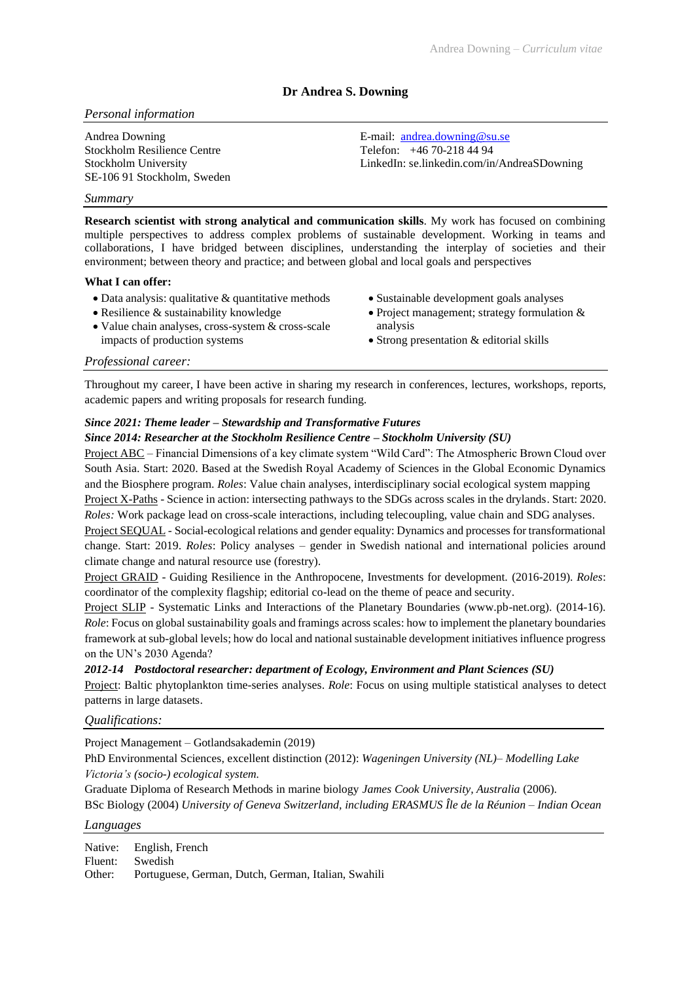# **Dr Andrea S. Downing**

## *Personal information*

Andrea Downing Stockholm Resilience Centre Stockholm University SE-106 91 Stockholm, Sweden

## E-mail: [andrea.downing@su.se](mailto:andrea.downing@su.se) Telefon: +46 70-218 44 94 LinkedIn: se.linkedin.com/in/AndreaSDowning

#### *Summary*

**Research scientist with strong analytical and communication skills**. My work has focused on combining multiple perspectives to address complex problems of sustainable development. Working in teams and collaborations, I have bridged between disciplines, understanding the interplay of societies and their environment; between theory and practice; and between global and local goals and perspectives

### **What I can offer:**

- Data analysis: qualitative & quantitative methods
- Resilience & sustainability knowledge
- Value chain analyses, cross-system & cross-scale impacts of production systems
- Sustainable development goals analyses
- Project management; strategy formulation & analysis
- Strong presentation & editorial skills

## *Professional career:*

Throughout my career, I have been active in sharing my research in conferences, lectures, workshops, reports, academic papers and writing proposals for research funding.

## *Since 2021: Theme leader – Stewardship and Transformative Futures*

#### *Since 2014: Researcher at the Stockholm Resilience Centre – Stockholm University (SU)*

Project ABC – Financial Dimensions of a key climate system "Wild Card": The Atmospheric Brown Cloud over South Asia. Start: 2020. Based at the Swedish Royal Academy of Sciences in the Global Economic Dynamics and the Biosphere program. *Roles*: Value chain analyses, interdisciplinary social ecological system mapping Project X-Paths - Science in action: intersecting pathways to the SDGs across scales in the drylands. Start: 2020. *Roles:* Work package lead on cross-scale interactions, including telecoupling, value chain and SDG analyses. Project SEQUAL - Social-ecological relations and gender equality: Dynamics and processes for transformational change. Start: 2019. *Roles*: Policy analyses – gender in Swedish national and international policies around climate change and natural resource use (forestry).

Project GRAID - Guiding Resilience in the Anthropocene, Investments for development. (2016-2019). *Roles*: coordinator of the complexity flagship; editorial co-lead on the theme of peace and security.

Project SLIP - Systematic Links and Interactions of the Planetary Boundaries (www.pb-net.org). (2014-16). *Role*: Focus on global sustainability goals and framings across scales: how to implement the planetary boundaries framework at sub-global levels; how do local and national sustainable development initiatives influence progress on the UN's 2030 Agenda?

#### *2012-14 Postdoctoral researcher: department of Ecology, Environment and Plant Sciences (SU)*

Project: Baltic phytoplankton time-series analyses. *Role*: Focus on using multiple statistical analyses to detect patterns in large datasets.

### *Qualifications:*

Project Management – Gotlandsakademin (2019)

PhD Environmental Sciences, excellent distinction (2012): *Wageningen University (NL)– Modelling Lake Victoria's (socio-) ecological system.*

Graduate Diploma of Research Methods in marine biology *James Cook University, Australia* (2006).

BSc Biology (2004) *University of Geneva Switzerland, including ERASMUS Île de la Réunion – Indian Ocean*

# *Languages*

Native: English, French Fluent: Swedish Other: Portuguese, German, Dutch, German, Italian, Swahili